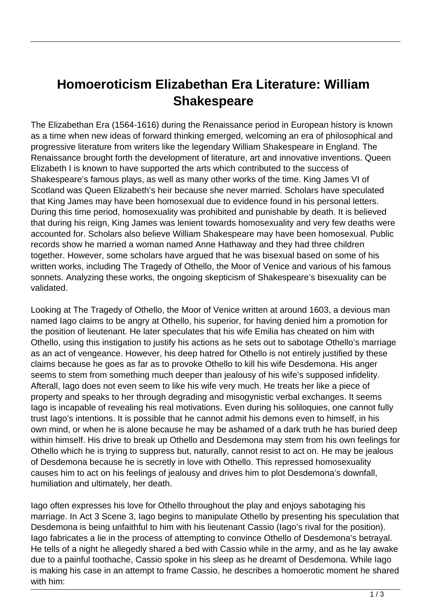## **Homoeroticism Elizabethan Era Literature: William Shakespeare**

The Elizabethan Era (1564-1616) during the Renaissance period in European history is known as a time when new ideas of forward thinking emerged, welcoming an era of philosophical and progressive literature from writers like the legendary William Shakespeare in England. The Renaissance brought forth the development of literature, art and innovative inventions. Queen Elizabeth I is known to have supported the arts which contributed to the success of Shakespeare's famous plays, as well as many other works of the time. King James VI of Scotland was Queen Elizabeth's heir because she never married. Scholars have speculated that King James may have been homosexual due to evidence found in his personal letters. During this time period, homosexuality was prohibited and punishable by death. It is believed that during his reign, King James was lenient towards homosexuality and very few deaths were accounted for. Scholars also believe William Shakespeare may have been homosexual. Public records show he married a woman named Anne Hathaway and they had three children together. However, some scholars have argued that he was bisexual based on some of his written works, including The Tragedy of Othello, the Moor of Venice and various of his famous sonnets. Analyzing these works, the ongoing skepticism of Shakespeare's bisexuality can be validated.

Looking at The Tragedy of Othello, the Moor of Venice written at around 1603, a devious man named Iago claims to be angry at Othello, his superior, for having denied him a promotion for the position of lieutenant. He later speculates that his wife Emilia has cheated on him with Othello, using this instigation to justify his actions as he sets out to sabotage Othello's marriage as an act of vengeance. However, his deep hatred for Othello is not entirely justified by these claims because he goes as far as to provoke Othello to kill his wife Desdemona. His anger seems to stem from something much deeper than jealousy of his wife's supposed infidelity. Afterall, Iago does not even seem to like his wife very much. He treats her like a piece of property and speaks to her through degrading and misogynistic verbal exchanges. It seems Iago is incapable of revealing his real motivations. Even during his soliloquies, one cannot fully trust Iago's intentions. It is possible that he cannot admit his demons even to himself, in his own mind, or when he is alone because he may be ashamed of a dark truth he has buried deep within himself. His drive to break up Othello and Desdemona may stem from his own feelings for Othello which he is trying to suppress but, naturally, cannot resist to act on. He may be jealous of Desdemona because he is secretly in love with Othello. This repressed homosexuality causes him to act on his feelings of jealousy and drives him to plot Desdemona's downfall, humiliation and ultimately, her death.

Iago often expresses his love for Othello throughout the play and enjoys sabotaging his marriage. In Act 3 Scene 3, Iago begins to manipulate Othello by presenting his speculation that Desdemona is being unfaithful to him with his lieutenant Cassio (Iago's rival for the position). Iago fabricates a lie in the process of attempting to convince Othello of Desdemona's betrayal. He tells of a night he allegedly shared a bed with Cassio while in the army, and as he lay awake due to a painful toothache, Cassio spoke in his sleep as he dreamt of Desdemona. While Iago is making his case in an attempt to frame Cassio, he describes a homoerotic moment he shared with him: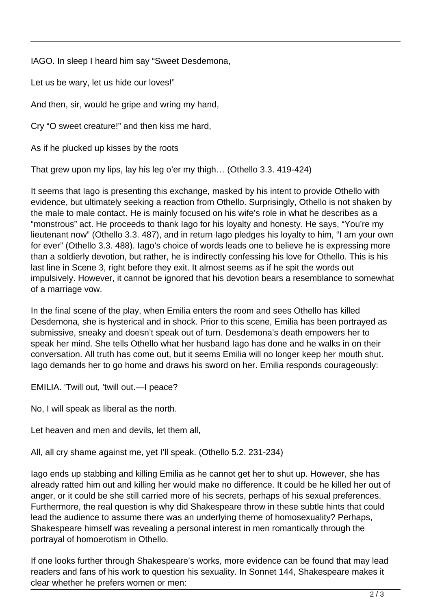IAGO. In sleep I heard him say "Sweet Desdemona,

Let us be wary, let us hide our loves!"

And then, sir, would he gripe and wring my hand,

Cry "O sweet creature!" and then kiss me hard,

As if he plucked up kisses by the roots

That grew upon my lips, lay his leg o'er my thigh… (Othello 3.3. 419-424)

It seems that Iago is presenting this exchange, masked by his intent to provide Othello with evidence, but ultimately seeking a reaction from Othello. Surprisingly, Othello is not shaken by the male to male contact. He is mainly focused on his wife's role in what he describes as a "monstrous" act. He proceeds to thank Iago for his loyalty and honesty. He says, "You're my lieutenant now" (Othello 3.3. 487), and in return Iago pledges his loyalty to him, "I am your own for ever" (Othello 3.3. 488). Iago's choice of words leads one to believe he is expressing more than a soldierly devotion, but rather, he is indirectly confessing his love for Othello. This is his last line in Scene 3, right before they exit. It almost seems as if he spit the words out impulsively. However, it cannot be ignored that his devotion bears a resemblance to somewhat of a marriage vow.

In the final scene of the play, when Emilia enters the room and sees Othello has killed Desdemona, she is hysterical and in shock. Prior to this scene, Emilia has been portrayed as submissive, sneaky and doesn't speak out of turn. Desdemona's death empowers her to speak her mind. She tells Othello what her husband Iago has done and he walks in on their conversation. All truth has come out, but it seems Emilia will no longer keep her mouth shut. Iago demands her to go home and draws his sword on her. Emilia responds courageously:

EMILIA. 'Twill out, 'twill out.—I peace?

No, I will speak as liberal as the north.

Let heaven and men and devils, let them all,

All, all cry shame against me, yet I'll speak. (Othello 5.2. 231-234)

Iago ends up stabbing and killing Emilia as he cannot get her to shut up. However, she has already ratted him out and killing her would make no difference. It could be he killed her out of anger, or it could be she still carried more of his secrets, perhaps of his sexual preferences. Furthermore, the real question is why did Shakespeare throw in these subtle hints that could lead the audience to assume there was an underlying theme of homosexuality? Perhaps, Shakespeare himself was revealing a personal interest in men romantically through the portrayal of homoerotism in Othello.

If one looks further through Shakespeare's works, more evidence can be found that may lead readers and fans of his work to question his sexuality. In Sonnet 144, Shakespeare makes it clear whether he prefers women or men: